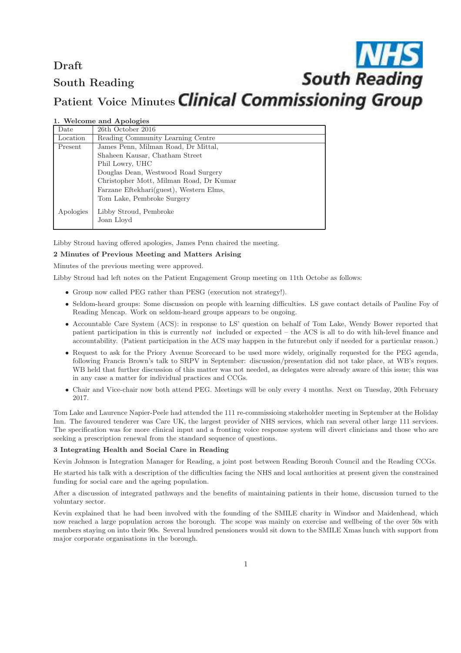# Draft **South Reading** South Reading Patient Voice Minutes Clinical Commissioning Group

| Date      | 26th October 2016                       |
|-----------|-----------------------------------------|
| Location  | Reading Community Learning Centre       |
| Present   | James Penn, Milman Road, Dr Mittal,     |
|           | Shaheen Kausar, Chatham Street          |
|           | Phil Lowry, UHC                         |
|           | Douglas Dean, Westwood Road Surgery     |
|           | Christopher Mott, Milman Road, Dr Kumar |
|           | Farzane Eftekhari(guest), Western Elms, |
|           | Tom Lake, Pembroke Surgery              |
| Apologies | Libby Stroud, Pembroke                  |
|           | Joan Lloyd                              |

1. Welcome and Apologies

Libby Stroud having offered apologies, James Penn chaired the meeting.

## 2 Minutes of Previous Meeting and Matters Arising

Minutes of the previous meeting were approved.

Libby Stroud had left notes on the Patient Engagement Group meeting on 11th Octobe as follows:

- Group now called PEG rather than PESG (execution not strategy!).
- Seldom-heard groups: Some discussion on people with learning difficulties. LS gave contact details of Pauline Foy of Reading Mencap. Work on seldom-heard groups appears to be ongoing.
- Accountable Care System (ACS): in response to LS' question on behalf of Tom Lake, Wendy Bower reported that patient participation in this is currently not included or expected – the ACS is all to do with hih-level finance and accountability. (Patient participation in the ACS may happen in the futurebut only if needed for a particular reason.)
- Request to ask for the Priory Avenue Scorecard to be used more widely, originally requested for the PEG agenda, following Francis Brown's talk to SRPV in September: discussion/presentation did not take place, at WB's reques. WB held that further discussion of this matter was not needed, as delegates were already aware of this issue; this was in any case a matter for individual practices and CCGs.
- Chair and Vice-chair now both attend PEG. Meetings will be only every 4 months. Next on Tuesday, 20th February 2017.

Tom Lake and Laurence Napier-Peele had attended the 111 re-commissioing stakeholder meeting in September at the Holiday Inn. The favoured tenderer was Care UK, the largest provider of NHS services, which ran several other large 111 services. The specification was for more clinical input and a fronting voice response system will divert clinicians and those who are seeking a prescription renewal from the standard sequence of questions.

#### 3 Integrating Health and Social Care in Reading

Kevin Johnson is Integration Manager for Reading, a joint post between Reading Borouh Council and the Reading CCGs.

He started his talk with a description of the difficulties facing the NHS and local authorities at present given the constrained funding for social care and the ageing population.

After a discussion of integrated pathways and the benefits of maintaining patients in their home, discussion turned to the voluntary sector.

Kevin explained that he had been involved with the founding of the SMILE charity in Windsor and Maidenhead, which now reached a large population across the borough. The scope was mainly on exercise and wellbeing of the over 50s with members staying on into their 90s. Several hundred pensioners would sit down to the SMILE Xmas lunch with support from major corporate organisations in the borough.